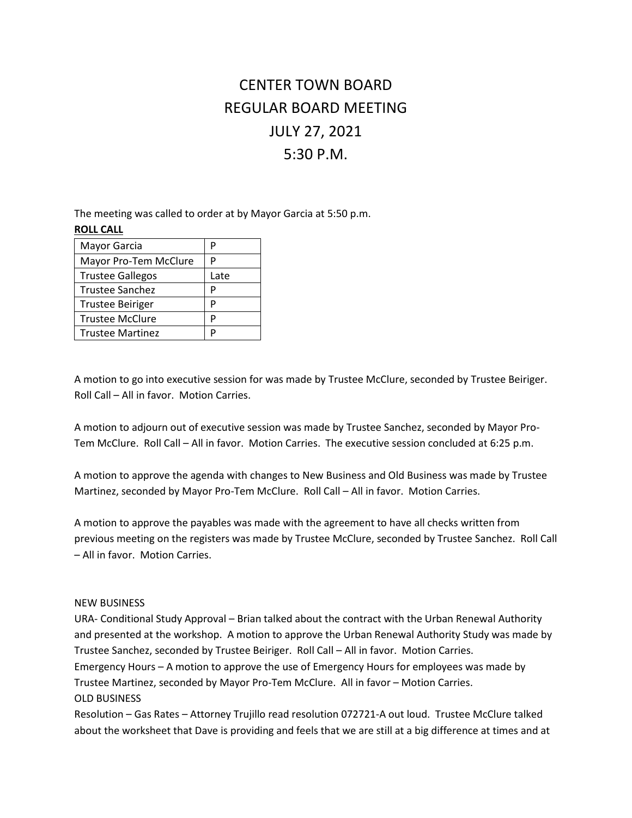## CENTER TOWN BOARD REGULAR BOARD MEETING JULY 27, 2021 5:30 P.M.

The meeting was called to order at by Mayor Garcia at 5:50 p.m.

| <b>ROLL CALL</b> |                         |      |
|------------------|-------------------------|------|
|                  | Mayor Garcia            | р    |
|                  | Mayor Pro-Tem McClure   |      |
|                  | <b>Trustee Gallegos</b> | Late |
|                  | <b>Trustee Sanchez</b>  | Р    |
|                  | <b>Trustee Beiriger</b> | P    |
|                  | <b>Trustee McClure</b>  | D    |
|                  | <b>Trustee Martinez</b> |      |

A motion to go into executive session for was made by Trustee McClure, seconded by Trustee Beiriger. Roll Call – All in favor. Motion Carries.

A motion to adjourn out of executive session was made by Trustee Sanchez, seconded by Mayor Pro-Tem McClure. Roll Call – All in favor. Motion Carries. The executive session concluded at 6:25 p.m.

A motion to approve the agenda with changes to New Business and Old Business was made by Trustee Martinez, seconded by Mayor Pro-Tem McClure. Roll Call – All in favor. Motion Carries.

A motion to approve the payables was made with the agreement to have all checks written from previous meeting on the registers was made by Trustee McClure, seconded by Trustee Sanchez. Roll Call – All in favor. Motion Carries.

## NEW BUSINESS

URA- Conditional Study Approval – Brian talked about the contract with the Urban Renewal Authority and presented at the workshop. A motion to approve the Urban Renewal Authority Study was made by Trustee Sanchez, seconded by Trustee Beiriger. Roll Call – All in favor. Motion Carries. Emergency Hours – A motion to approve the use of Emergency Hours for employees was made by Trustee Martinez, seconded by Mayor Pro-Tem McClure. All in favor – Motion Carries.

OLD BUSINESS

Resolution – Gas Rates – Attorney Trujillo read resolution 072721-A out loud. Trustee McClure talked about the worksheet that Dave is providing and feels that we are still at a big difference at times and at